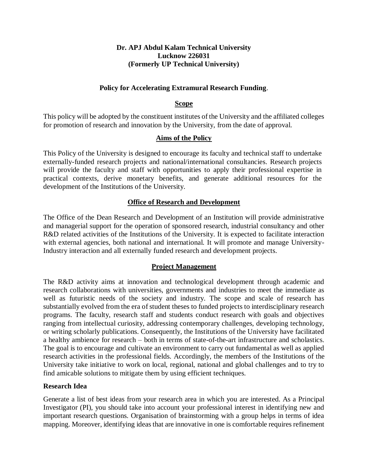#### **Dr. APJ Abdul Kalam Technical University Lucknow 226031 (Formerly UP Technical University)**

#### **Policy for Accelerating Extramural Research Funding**.

#### **Scope**

This policy will be adopted by the constituent institutes of the University and the affiliated colleges for promotion of research and innovation by the University, from the date of approval.

#### **Aims of the Policy**

This Policy of the University is designed to encourage its faculty and technical staff to undertake externally-funded research projects and national/international consultancies. Research projects will provide the faculty and staff with opportunities to apply their professional expertise in practical contexts, derive monetary benefits, and generate additional resources for the development of the Institutions of the University.

#### **Office of Research and Development**

The Office of the Dean Research and Development of an Institution will provide administrative and managerial support for the operation of sponsored research, industrial consultancy and other R&D related activities of the Institutions of the University. It is expected to facilitate interaction with external agencies, both national and international. It will promote and manage University-Industry interaction and all externally funded research and development projects.

### **Project Management**

The R&D activity aims at innovation and technological development through academic and research collaborations with universities, governments and industries to meet the immediate as well as futuristic needs of the society and industry. The scope and scale of research has substantially evolved from the era of student theses to funded projects to interdisciplinary research programs. The faculty, research staff and students conduct research with goals and objectives ranging from intellectual curiosity, addressing contemporary challenges, developing technology, or writing scholarly publications. Consequently, the Institutions of the University have facilitated a healthy ambience for research – both in terms of state-of-the-art infrastructure and scholastics. The goal is to encourage and cultivate an environment to carry out fundamental as well as applied research activities in the professional fields. Accordingly, the members of the Institutions of the University take initiative to work on local, regional, national and global challenges and to try to find amicable solutions to mitigate them by using efficient techniques.

#### **Research Idea**

Generate a list of best ideas from your research area in which you are interested. As a Principal Investigator (PI), you should take into account your professional interest in identifying new and important research questions. Organisation of brainstorming with a group helps in terms of idea mapping. Moreover, identifying ideas that are innovative in one is comfortable requires refinement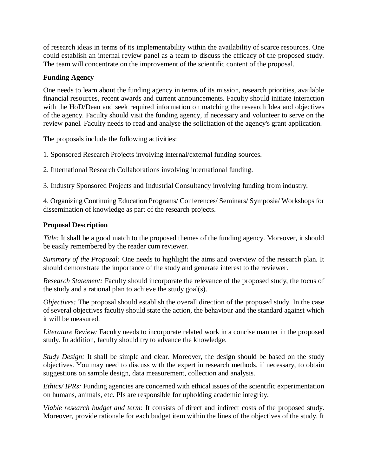of research ideas in terms of its implementability within the availability of scarce resources. One could establish an internal review panel as a team to discuss the efficacy of the proposed study. The team will concentrate on the improvement of the scientific content of the proposal.

## **Funding Agency**

One needs to learn about the funding agency in terms of its mission, research priorities, available financial resources, recent awards and current announcements. Faculty should initiate interaction with the HoD/Dean and seek required information on matching the research Idea and objectives of the agency. Faculty should visit the funding agency, if necessary and volunteer to serve on the review panel. Faculty needs to read and analyse the solicitation of the agency's grant application.

The proposals include the following activities:

- 1. Sponsored Research Projects involving internal/external funding sources.
- 2. International Research Collaborations involving international funding.

3. Industry Sponsored Projects and Industrial Consultancy involving funding from industry.

4. Organizing Continuing Education Programs/ Conferences/ Seminars/ Symposia/ Workshops for dissemination of knowledge as part of the research projects.

## **Proposal Description**

*Title:* It shall be a good match to the proposed themes of the funding agency. Moreover, it should be easily remembered by the reader cum reviewer.

*Summary of the Proposal:* One needs to highlight the aims and overview of the research plan. It should demonstrate the importance of the study and generate interest to the reviewer.

*Research Statement:* Faculty should incorporate the relevance of the proposed study, the focus of the study and a rational plan to achieve the study goal(s).

*Objectives:* The proposal should establish the overall direction of the proposed study. In the case of several objectives faculty should state the action, the behaviour and the standard against which it will be measured.

*Literature Review:* Faculty needs to incorporate related work in a concise manner in the proposed study. In addition, faculty should try to advance the knowledge.

*Study Design:* It shall be simple and clear. Moreover, the design should be based on the study objectives. You may need to discuss with the expert in research methods, if necessary, to obtain suggestions on sample design, data measurement, collection and analysis.

*Ethics/ IPRs:* Funding agencies are concerned with ethical issues of the scientific experimentation on humans, animals, etc. PIs are responsible for upholding academic integrity.

*Viable research budget and term:* It consists of direct and indirect costs of the proposed study. Moreover, provide rationale for each budget item within the lines of the objectives of the study. It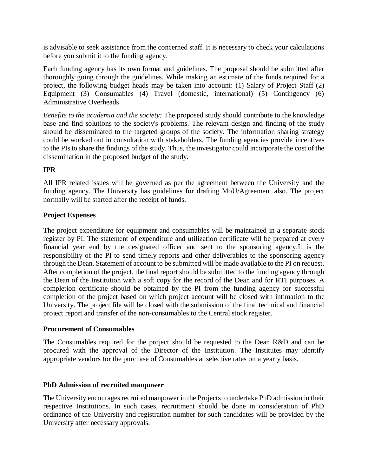is advisable to seek assistance from the concerned staff. It is necessary to check your calculations before you submit it to the funding agency.

Each funding agency has its own format and guidelines. The proposal should be submitted after thoroughly going through the guidelines. While making an estimate of the funds required for a project, the following budget heads may be taken into account: (1) Salary of Project Staff (2) Equipment (3) Consumables (4) Travel (domestic, international) (5) Contingency (6) Administrative Overheads

*Benefits to the academia and the society:* The proposed study should contribute to the knowledge base and find solutions to the society's problems. The relevant design and finding of the study should be disseminated to the targeted groups of the society. The information sharing strategy could be worked out in consultation with stakeholders. The funding agencies provide incentives to the PIs to share the findings of the study. Thus, the investigator could incorporate the cost of the dissemination in the proposed budget of the study.

## **IPR**

All IPR related issues will be governed as per the agreement between the University and the funding agency. The University has guidelines for drafting MoU/Agreement also. The project normally will be started after the receipt of funds.

### **Project Expenses**

The project expenditure for equipment and consumables will be maintained in a separate stock register by PI. The statement of expenditure and utilization certificate will be prepared at every financial year end by the designated officer and sent to the sponsoring agency.It is the responsibility of the PI to send timely reports and other deliverables to the sponsoring agency through the Dean. Statement of account to be submitted will be made available to the PI on request. After completion of the project, the final report should be submitted to the funding agency through the Dean of the Institution with a soft copy for the record of the Dean and for RTI purposes. A completion certificate should be obtained by the PI from the funding agency for successful completion of the project based on which project account will be closed with intimation to the University. The project file will be closed with the submission of the final technical and financial project report and transfer of the non-consumables to the Central stock register.

### **Procurement of Consumables**

The Consumables required for the project should be requested to the Dean R&D and can be procured with the approval of the Director of the Institution. The Institutes may identify appropriate vendors for the purchase of Consumables at selective rates on a yearly basis.

### **PhD Admission of recruited manpower**

The University encourages recruited manpower in the Projects to undertake PhD admission in their respective Institutions. In such cases, recruitment should be done in consideration of PhD ordinance of the University and registration number for such candidates will be provided by the University after necessary approvals.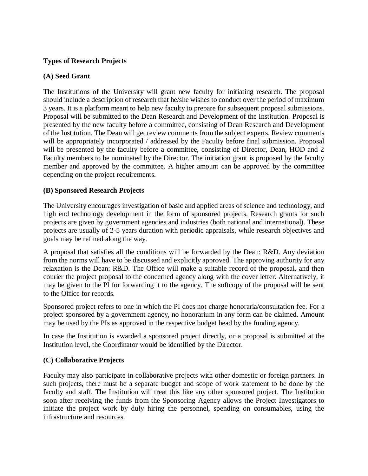### **Types of Research Projects**

#### **(A) Seed Grant**

The Institutions of the University will grant new faculty for initiating research. The proposal should include a description of research that he/she wishes to conduct over the period of maximum 3 years. It is a platform meant to help new faculty to prepare for subsequent proposal submissions. Proposal will be submitted to the Dean Research and Development of the Institution. Proposal is presented by the new faculty before a committee, consisting of Dean Research and Development of the Institution. The Dean will get review comments from the subject experts. Review comments will be appropriately incorporated / addressed by the Faculty before final submission. Proposal will be presented by the faculty before a committee, consisting of Director, Dean, HOD and 2 Faculty members to be nominated by the Director. The initiation grant is proposed by the faculty member and approved by the committee. A higher amount can be approved by the committee depending on the project requirements.

#### **(B) Sponsored Research Projects**

The University encourages investigation of basic and applied areas of science and technology, and high end technology development in the form of sponsored projects. Research grants for such projects are given by government agencies and industries (both national and international). These projects are usually of 2-5 years duration with periodic appraisals, while research objectives and goals may be refined along the way.

A proposal that satisfies all the conditions will be forwarded by the Dean: R&D. Any deviation from the norms will have to be discussed and explicitly approved. The approving authority for any relaxation is the Dean: R&D. The Office will make a suitable record of the proposal, and then courier the project proposal to the concerned agency along with the cover letter. Alternatively, it may be given to the PI for forwarding it to the agency. The softcopy of the proposal will be sent to the Office for records.

Sponsored project refers to one in which the PI does not charge honoraria/consultation fee. For a project sponsored by a government agency, no honorarium in any form can be claimed. Amount may be used by the PIs as approved in the respective budget head by the funding agency.

In case the Institution is awarded a sponsored project directly, or a proposal is submitted at the Institution level, the Coordinator would be identified by the Director.

### **(C) Collaborative Projects**

Faculty may also participate in collaborative projects with other domestic or foreign partners. In such projects, there must be a separate budget and scope of work statement to be done by the faculty and staff. The Institution will treat this like any other sponsored project. The Institution soon after receiving the funds from the Sponsoring Agency allows the Project Investigators to initiate the project work by duly hiring the personnel, spending on consumables, using the infrastructure and resources.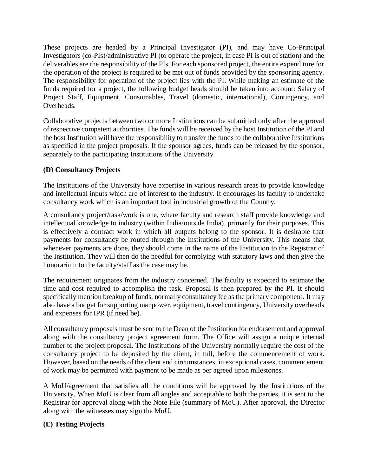These projects are headed by a Principal Investigator (PI), and may have Co-Principal Investigators (co-PIs)/administrative PI (to operate the project, in case PI is out of station) and the deliverables are the responsibility of the PIs. For each sponsored project, the entire expenditure for the operation of the project is required to be met out of funds provided by the sponsoring agency. The responsibility for operation of the project lies with the PI. While making an estimate of the funds required for a project, the following budget heads should be taken into account: Salary of Project Staff, Equipment, Consumables, Travel (domestic, international), Contingency, and Overheads.

Collaborative projects between two or more Institutions can be submitted only after the approval of respective competent authorities. The funds will be received by the host Institution of the PI and the host Institution will have the responsibility to transfer the funds to the collaborative Institutions as specified in the project proposals. If the sponsor agrees, funds can be released by the sponsor, separately to the participating Institutions of the University.

### **(D) Consultancy Projects**

The Institutions of the University have expertise in various research areas to provide knowledge and intellectual inputs which are of interest to the industry. It encourages its faculty to undertake consultancy work which is an important tool in industrial growth of the Country.

A consultancy project/task/work is one, where faculty and research staff provide knowledge and intellectual knowledge to industry (within India/outside India), primarily for their purposes. This is effectively a contract work in which all outputs belong to the sponsor. It is desirable that payments for consultancy be routed through the Institutions of the University. This means that whenever payments are done, they should come in the name of the Institution to the Registrar of the Institution. They will then do the needful for complying with statutory laws and then give the honorarium to the faculty/staff as the case may be.

The requirement originates from the industry concerned. The faculty is expected to estimate the time and cost required to accomplish the task. Proposal is then prepared by the PI. It should specifically mention breakup of funds, normally consultancy fee as the primary component. It may also have a budget for supporting manpower, equipment, travel contingency, University overheads and expenses for IPR (if need be).

All consultancy proposals must be sent to the Dean of the Institution for endorsement and approval along with the consultancy project agreement form. The Office will assign a unique internal number to the project proposal. The Institutions of the University normally require the cost of the consultancy project to be deposited by the client, in full, before the commencement of work. However, based on the needs of the client and circumstances, in exceptional cases, commencement of work may be permitted with payment to be made as per agreed upon milestones.

A MoU/agreement that satisfies all the conditions will be approved by the Institutions of the University. When MoU is clear from all angles and acceptable to both the parties, it is sent to the Registrar for approval along with the Note File (summary of MoU). After approval, the Director along with the witnesses may sign the MoU.

### **(E) Testing Projects**